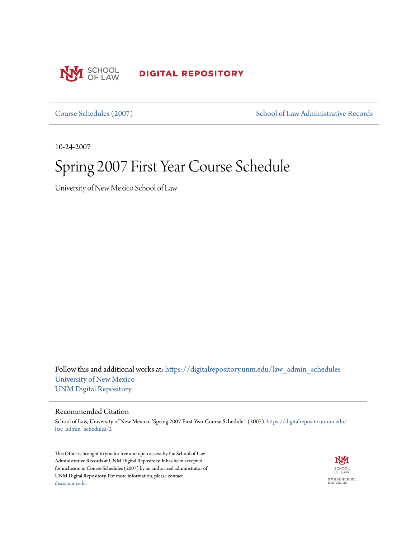

**DIGITAL REPOSITORY** 

[Course Schedules \(2007\)](https://digitalrepository.unm.edu/law_admin_schedules?utm_source=digitalrepository.unm.edu%2Flaw_admin_schedules%2F2&utm_medium=PDF&utm_campaign=PDFCoverPages) [School of Law Administrative Records](https://digitalrepository.unm.edu/law_admin?utm_source=digitalrepository.unm.edu%2Flaw_admin_schedules%2F2&utm_medium=PDF&utm_campaign=PDFCoverPages)

10-24-2007

## Spring 2007 First Year Course Schedule

University of New Mexico School of Law

Follow this and additional works at: [https://digitalrepository.unm.edu/law\\_admin\\_schedules](https://digitalrepository.unm.edu/law_admin_schedules?utm_source=digitalrepository.unm.edu%2Flaw_admin_schedules%2F2&utm_medium=PDF&utm_campaign=PDFCoverPages) [University of New Mexico](https://digitalrepository.unm.edu?utm_source=digitalrepository.unm.edu%2Flaw_admin_schedules%2F2&utm_medium=PDF&utm_campaign=PDFCoverPages) [UNM Digital Repository](https://digitalrepository.unm.edu?utm_source=digitalrepository.unm.edu%2Flaw_admin_schedules%2F2&utm_medium=PDF&utm_campaign=PDFCoverPages)

## Recommended Citation

School of Law, University of New Mexico. "Spring 2007 First Year Course Schedule." (2007). [https://digitalrepository.unm.edu/](https://digitalrepository.unm.edu/law_admin_schedules/2?utm_source=digitalrepository.unm.edu%2Flaw_admin_schedules%2F2&utm_medium=PDF&utm_campaign=PDFCoverPages) [law\\_admin\\_schedules/2](https://digitalrepository.unm.edu/law_admin_schedules/2?utm_source=digitalrepository.unm.edu%2Flaw_admin_schedules%2F2&utm_medium=PDF&utm_campaign=PDFCoverPages)

This Other is brought to you for free and open access by the School of Law Administrative Records at UNM Digital Repository. It has been accepted for inclusion in Course Schedules (2007) by an authorized administrator of UNM Digital Repository. For more information, please contact [disc@unm.edu](mailto:disc@unm.edu).